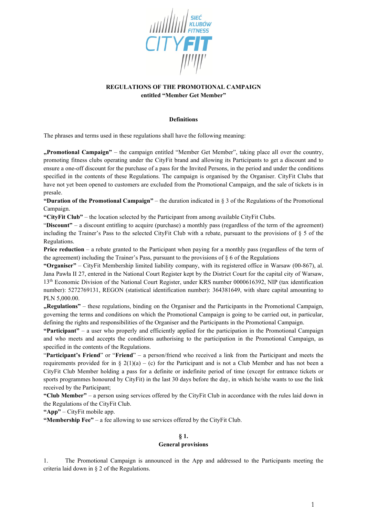

# **REGULATIONS OF THE PROMOTIONAL CAMPAIGN entitled "Member Get Member"**

#### **Definitions**

The phrases and terms used in these regulations shall have the following meaning:

**"Promotional Campaign"** – the campaign entitled "Member Get Member", taking place all over the country, promoting fitness clubs operating under the CityFit brand and allowing its Participants to get a discount and to ensure a one-off discount for the purchase of a pass for the Invited Persons, in the period and under the conditions specified in the contents of these Regulations. The campaign is organised by the Organiser. CityFit Clubs that have not yet been opened to customers are excluded from the Promotional Campaign, and the sale of tickets is in presale.

**"Duration of the Promotional Campaign"** – the duration indicated in § 3 of the Regulations of the Promotional Campaign.

**"CityFit Club"** – the location selected by the Participant from among available CityFit Clubs.

"Discount" – a discount entitling to acquire (purchase) a monthly pass (regardless of the term of the agreement) including the Trainer's Pass to the selected CityFit Club with a rebate, pursuant to the provisions of § 5 of the Regulations.

**Price reduction** – a rebate granted to the Participant when paying for a monthly pass (regardless of the term of the agreement) including the Trainer's Pass, pursuant to the provisions of  $\S$  6 of the Regulations

**"Organiser"** – CityFit Membership limited liability company, with its registered office in Warsaw (00-867), al. Jana Pawła II 27, entered in the National Court Register kept by the District Court for the capital city of Warsaw, 13th Economic Division of the National Court Register, under KRS number 0000616392, NIP (tax identification number): 5272769131, REGON (statistical identification number): 364381649, with share capital amounting to PLN 5,000.00.

**Regulations"** – these regulations, binding on the Organiser and the Participants in the Promotional Campaign, governing the terms and conditions on which the Promotional Campaign is going to be carried out, in particular, defining the rights and responsibilities of the Organiser and the Participants in the Promotional Campaign.

**"Participant"** – a user who properly and efficiently applied for the participation in the Promotional Campaign and who meets and accepts the conditions authorising to the participation in the Promotional Campaign, as specified in the contents of the Regulations.

"**Participant's Friend**" or "**Friend**" – a person/friend who received a link from the Participant and meets the requirements provided for in § 2(1)(a) – (c) for the Participant and is not a Club Member and has not been a CityFit Club Member holding a pass for a definite or indefinite period of time (except for entrance tickets or sports programmes honoured by CityFit) in the last 30 days before the day, in which he/she wants to use the link received by the Participant;

**"Club Member"** – a person using services offered by the CityFit Club in accordance with the rules laid down in the Regulations of the CityFit Club.

**"App"** – CityFit mobile app.

**"Membership Fee"** – a fee allowing to use services offered by the CityFit Club.

# **§ 1.**

#### **General provisions**

1. The Promotional Campaign is announced in the App and addressed to the Participants meeting the criteria laid down in § 2 of the Regulations.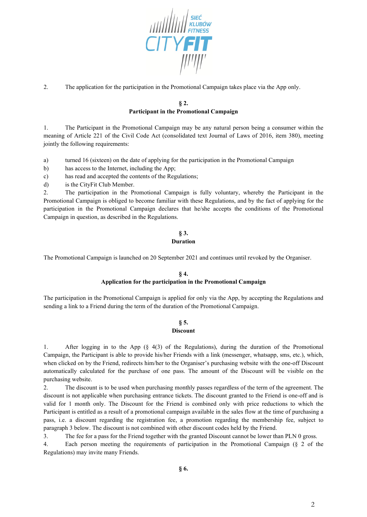

2. The application for the participation in the Promotional Campaign takes place via the App only.

### **§ 2. Participant in the Promotional Campaign**

1. The Participant in the Promotional Campaign may be any natural person being a consumer within the meaning of Article 221 of the Civil Code Act (consolidated text Journal of Laws of 2016, item 380), meeting jointly the following requirements:

a) turned 16 (sixteen) on the date of applying for the participation in the Promotional Campaign

b) has access to the Internet, including the App;

c) has read and accepted the contents of the Regulations;

d) is the CityFit Club Member.

2. The participation in the Promotional Campaign is fully voluntary, whereby the Participant in the Promotional Campaign is obliged to become familiar with these Regulations, and by the fact of applying for the participation in the Promotional Campaign declares that he/she accepts the conditions of the Promotional Campaign in question, as described in the Regulations.

### **§ 3. Duration**

The Promotional Campaign is launched on 20 September 2021 and continues until revoked by the Organiser.

# **§ 4. Application for the participation in the Promotional Campaign**

The participation in the Promotional Campaign is applied for only via the App, by accepting the Regulations and sending a link to a Friend during the term of the duration of the Promotional Campaign.

# **§ 5.**

#### **Discount**

1. After logging in to the App (§ 4(3) of the Regulations), during the duration of the Promotional Campaign, the Participant is able to provide his/her Friends with a link (messenger, whatsapp, sms, etc.), which, when clicked on by the Friend, redirects him/her to the Organiser's purchasing website with the one-off Discount automatically calculated for the purchase of one pass. The amount of the Discount will be visible on the purchasing website.

2. The discount is to be used when purchasing monthly passes regardless of the term of the agreement. The discount is not applicable when purchasing entrance tickets. The discount granted to the Friend is one-off and is valid for 1 month only. The Discount for the Friend is combined only with price reductions to which the Participant is entitled as a result of a promotional campaign available in the sales flow at the time of purchasing a pass, i.e. a discount regarding the registration fee, a promotion regarding the membership fee, subject to paragraph 3 below. The discount is not combined with other discount codes held by the Friend.

3. The fee for a pass for the Friend together with the granted Discount cannot be lower than PLN 0 gross.

4. Each person meeting the requirements of participation in the Promotional Campaign (§ 2 of the Regulations) may invite many Friends.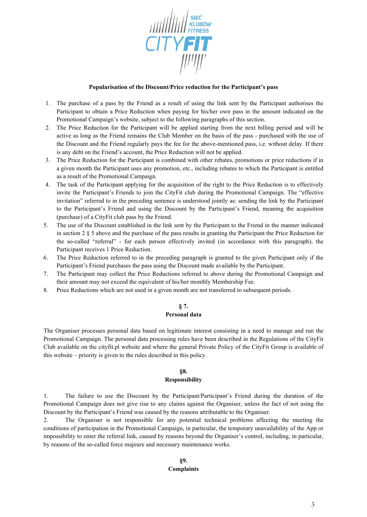

#### **Popularisation of the Discount/Price reduction for the Participant's pass**

- 1. The purchase of a pass by the Friend as a result of using the link sent by the Participant authorises the Participant to obtain a Price Reduction when paying for his/her own pass in the amount indicated on the Promotional Campaign's website, subject to the following paragraphs of this section.
- 2. The Price Reduction for the Participant will be applied starting from the next billing period and will be active as long as the Friend remains the Club Member on the basis of the pass - purchased with the use of the Discount and the Friend regularly pays the fee for the above-mentioned pass, i.e. without delay. If there is any debt on the Friend's account, the Price Reduction will not be applied.
- 3. The Price Reduction for the Participant is combined with other rebates, promotions or price reductions if in a given month the Participant uses any promotion, etc., including rebates to which the Participant is entitled as a result of the Promotional Campaign.
- 4. The task of the Participant applying for the acquisition of the right to the Price Reduction is to effectively invite the Participant's Friends to join the CityFit club during the Promotional Campaign. The "effective invitation" referred to in the preceding sentence is understood jointly as: sending the link by the Participant to the Participant's Friend and using the Discount by the Participant's Friend, meaning the acquisition (purchase) of a CityFit club pass by the Friend.
- 5. The use of the Discount established in the link sent by the Participant to the Friend in the manner indicated in section 2 § 5 above and the purchase of the pass results in granting the Participant the Price Reduction for the so-called "referral" - for each person effectively invited (in accordance with this paragraph), the Participant receives 1 Price Reduction.
- 6. The Price Reduction referred to in the preceding paragraph is granted to the given Participant only if the Participant's Friend purchases the pass using the Discount made available by the Participant.
- 7. The Participant may collect the Price Reductions referred to above during the Promotional Campaign and their amount may not exceed the equivalent of his/her monthly Membership Fee.
- 8. Price Reductions which are not used in a given month are not transferred to subsequent periods.

# **§ 7.**

# **Personal data**

The Organiser processes personal data based on legitimate interest consisting in a need to manage and run the Promotional Campaign. The personal data processing rules have been described in the Regulations of the CityFit Club available on the cityfit.pl website and where the general Private Policy of the CityFit Group is available of this website – priority is given to the rules described in this policy.

# **§8.**

# **Responsibility**

1. The failure to use the Discount by the Participant/Participant's Friend during the duration of the Promotional Campaign does not give rise to any claims against the Organiser, unless the fact of not using the Discount by the Participant's Friend was caused by the reasons attributable to the Organiser.

2. The Organiser is not responsible for any potential technical problems affecting the meeting the conditions of participation in the Promotional Campaign, in particular, the temporary unavailability of the App or impossibility to enter the referral link, caused by reasons beyond the Organiser's control, including, in particular, by reasons of the so-called force majeure and necessary maintenance works.

# **§9. Complaints**